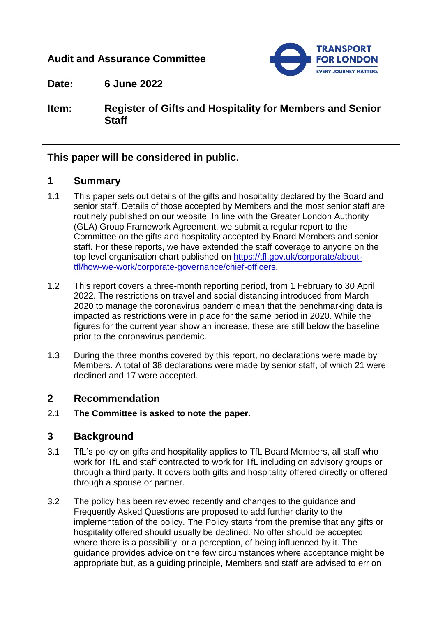# **Audit and Assurance Committee**



**Date: 6 June 2022**

**Item: Register of Gifts and Hospitality for Members and Senior Staff** 

## **This paper will be considered in public.**

# **1 Summary**

- 1.1 This paper sets out details of the gifts and hospitality declared by the Board and senior staff. Details of those accepted by Members and the most senior staff are routinely published on our website. In line with the Greater London Authority (GLA) Group Framework Agreement, we submit a regular report to the Committee on the gifts and hospitality accepted by Board Members and senior staff. For these reports, we have extended the staff coverage to anyone on the top level organisation chart published on [https://tfl.gov.uk/corporate/about](https://tfl.gov.uk/corporate/about-tfl/how-we-work/corporate-governance/chief-officers)[tfl/how-we-work/corporate-governance/chief-officers.](https://tfl.gov.uk/corporate/about-tfl/how-we-work/corporate-governance/chief-officers)
- 1.2 This report covers a three-month reporting period, from 1 February to 30 April 2022. The restrictions on travel and social distancing introduced from March 2020 to manage the coronavirus pandemic mean that the benchmarking data is impacted as restrictions were in place for the same period in 2020. While the figures for the current year show an increase, these are still below the baseline prior to the coronavirus pandemic.
- 1.3 During the three months covered by this report, no declarations were made by Members. A total of 38 declarations were made by senior staff, of which 21 were declined and 17 were accepted.

## **2 Recommendation**

2.1 **The Committee is asked to note the paper.**

## **3 Background**

- 3.1 TfL's policy on gifts and hospitality applies to TfL Board Members, all staff who work for TfL and staff contracted to work for TfL including on advisory groups or through a third party. It covers both gifts and hospitality offered directly or offered through a spouse or partner.
- 3.2 The policy has been reviewed recently and changes to the guidance and Frequently Asked Questions are proposed to add further clarity to the implementation of the policy. The Policy starts from the premise that any gifts or hospitality offered should usually be declined. No offer should be accepted where there is a possibility, or a perception, of being influenced by it. The guidance provides advice on the few circumstances where acceptance might be appropriate but, as a guiding principle, Members and staff are advised to err on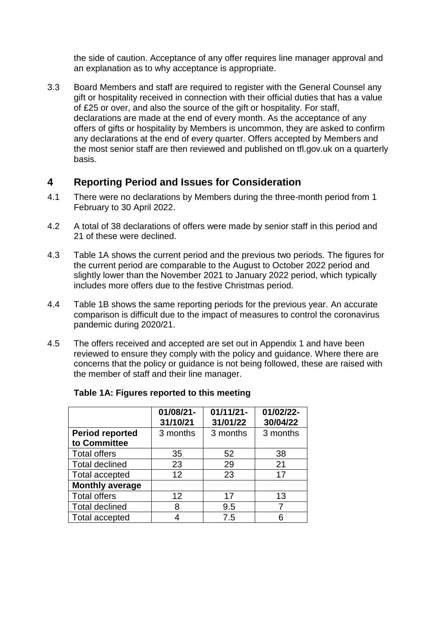the side of caution. Acceptance of any offer requires line manager approval and an explanation as to why acceptance is appropriate.

3.3 Board Members and staff are required to register with the General Counsel any gift or hospitality received in connection with their official duties that has a value of £25 or over, and also the source of the gift or hospitality. For staff, declarations are made at the end of every month. As the acceptance of any offers of gifts or hospitality by Members is uncommon, they are asked to confirm any declarations at the end of every quarter. Offers accepted by Members and the most senior staff are then reviewed and published on tfl.gov.uk on a quarterly basis.

# **4 Reporting Period and Issues for Consideration**

- 4.1 There were no declarations by Members during the three-month period from 1 February to 30 April 2022.
- 4.2 A total of 38 declarations of offers were made by senior staff in this period and 21 of these were declined.
- 4.3 Table 1A shows the current period and the previous two periods. The figures for the current period are comparable to the August to October 2022 period and slightly lower than the November 2021 to January 2022 period, which typically includes more offers due to the festive Christmas period.
- 4.4 Table 1B shows the same reporting periods for the previous year. An accurate comparison is difficult due to the impact of measures to control the coronavirus pandemic during 2020/21.
- 4.5 The offers received and accepted are set out in Appendix 1 and have been reviewed to ensure they comply with the policy and guidance. Where there are concerns that the policy or guidance is not being followed, these are raised with the member of staff and their line manager.

|                                        | 01/08/21-<br>31/10/21 | $01/11/21 -$<br>31/01/22 | 01/02/22-<br>30/04/22 |
|----------------------------------------|-----------------------|--------------------------|-----------------------|
| <b>Period reported</b><br>to Committee | 3 months              | 3 months                 | 3 months              |
| <b>Total offers</b>                    | 35                    | 52                       | 38                    |
| <b>Total declined</b>                  | 23                    | 29                       | 21                    |
| <b>Total accepted</b>                  | 12                    | 23                       | 17                    |
| <b>Monthly average</b>                 |                       |                          |                       |
| <b>Total offers</b>                    | 12                    | 17                       | 13                    |
| <b>Total declined</b>                  | 8                     | 9.5                      |                       |
| <b>Total accepted</b>                  |                       | 7.5                      | 6                     |

#### **Table 1A: Figures reported to this meeting**